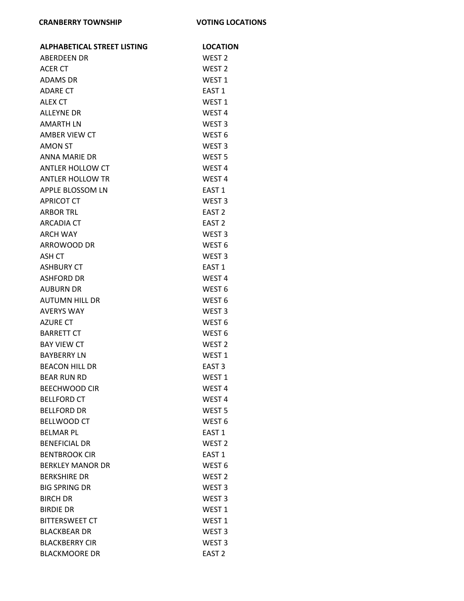| <b>ALPHABETICAL STREET LISTING</b>   | <b>LOCATION</b>                        |
|--------------------------------------|----------------------------------------|
| <b>ABERDEEN DR</b>                   | WEST <sub>2</sub>                      |
| ACER CT                              | WEST <sub>2</sub>                      |
| <b>ADAMS DR</b>                      | WEST <sub>1</sub>                      |
| <b>ADARE CT</b>                      | <b>FAST 1</b>                          |
| <b>ALEX CT</b>                       | WEST <sub>1</sub>                      |
| <b>ALLEYNE DR</b>                    | WEST <sub>4</sub>                      |
| <b>AMARTH LN</b>                     | WEST <sub>3</sub>                      |
| AMBER VIEW CT                        | WEST <sub>6</sub>                      |
| <b>AMON ST</b>                       | WEST <sub>3</sub>                      |
| <b>ANNA MARIE DR</b>                 | WEST <sub>5</sub>                      |
| <b>ANTLER HOLLOW CT</b>              | WEST <sub>4</sub>                      |
| <b>ANTLER HOLLOW TR</b>              | WEST <sub>4</sub>                      |
| APPLE BLOSSOM LN                     | EAST <sub>1</sub>                      |
| <b>APRICOT CT</b>                    | WEST <sub>3</sub>                      |
| <b>ARBOR TRL</b>                     | EAST <sub>2</sub>                      |
| <b>ARCADIA CT</b>                    | EAST <sub>2</sub>                      |
| <b>ARCH WAY</b>                      | WEST <sub>3</sub>                      |
| ARROWOOD DR                          | WEST <sub>6</sub>                      |
| ASH CT                               | WEST <sub>3</sub>                      |
| <b>ASHBURY CT</b>                    | EAST <sub>1</sub>                      |
| ASHFORD DR                           | WEST <sub>4</sub>                      |
| <b>AUBURN DR</b>                     | WEST <sub>6</sub>                      |
| <b>AUTUMN HILL DR</b>                | WEST <sub>6</sub>                      |
| <b>AVERYS WAY</b>                    | WEST <sub>3</sub>                      |
| <b>AZURE CT</b><br><b>BARRETT CT</b> | WEST <sub>6</sub><br>WEST <sub>6</sub> |
| <b>BAY VIEW CT</b>                   | WEST <sub>2</sub>                      |
| <b>BAYBERRY LN</b>                   | WEST <sub>1</sub>                      |
| <b>BEACON HILL DR</b>                | EAST <sub>3</sub>                      |
| <b>BEAR RUN RD</b>                   | WEST 1                                 |
| <b>BEECHWOOD CIR</b>                 | WEST 4                                 |
| <b>BELLFORD CT</b>                   | WEST <sub>4</sub>                      |
| <b>BELLFORD DR</b>                   | WEST <sub>5</sub>                      |
| <b>BELLWOOD CT</b>                   | WEST <sub>6</sub>                      |
| <b>BELMAR PL</b>                     | EAST <sub>1</sub>                      |
| <b>BENEFICIAL DR</b>                 | WEST <sub>2</sub>                      |
| <b>BENTBROOK CIR</b>                 | EAST <sub>1</sub>                      |
| <b>BERKLEY MANOR DR</b>              | WEST <sub>6</sub>                      |
| <b>BERKSHIRE DR</b>                  | WEST <sub>2</sub>                      |
| <b>BIG SPRING DR</b>                 | WEST <sub>3</sub>                      |
| <b>BIRCH DR</b>                      | WEST <sub>3</sub>                      |
| <b>BIRDIE DR</b>                     | WEST <sub>1</sub>                      |
| <b>BITTERSWEET CT</b>                | WEST <sub>1</sub>                      |
| <b>BLACKBEAR DR</b>                  | WEST <sub>3</sub>                      |
| <b>BLACKBERRY CIR</b>                | WEST <sub>3</sub>                      |
| <b>BLACKMOORE DR</b>                 | EAST <sub>2</sub>                      |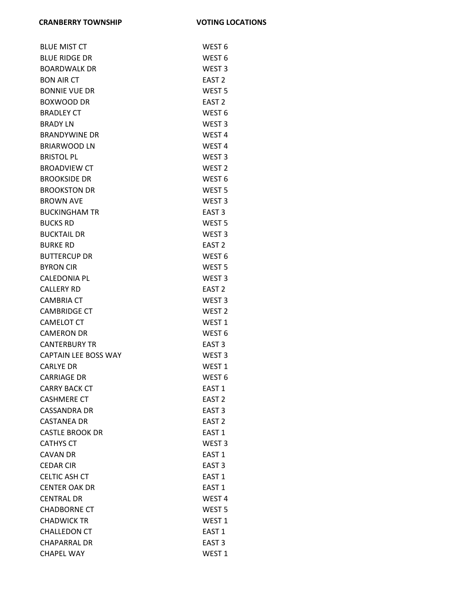| <b>BLUE MIST CT</b>         | WEST <sub>6</sub> |
|-----------------------------|-------------------|
| <b>BLUE RIDGE DR</b>        | WEST <sub>6</sub> |
| <b>BOARDWALK DR</b>         | WEST <sub>3</sub> |
| <b>BON AIR CT</b>           | EAST <sub>2</sub> |
| <b>BONNIE VUE DR</b>        | WEST <sub>5</sub> |
| <b>BOXWOOD DR</b>           | EAST <sub>2</sub> |
| <b>BRADLEY CT</b>           | WEST <sub>6</sub> |
| <b>BRADY LN</b>             | WEST <sub>3</sub> |
| <b>BRANDYWINE DR</b>        | WEST <sub>4</sub> |
| <b>BRIARWOOD LN</b>         | WEST <sub>4</sub> |
| <b>BRISTOL PL</b>           | WEST <sub>3</sub> |
| <b>BROADVIEW CT</b>         | WEST <sub>2</sub> |
| <b>BROOKSIDE DR</b>         | WEST <sub>6</sub> |
| <b>BROOKSTON DR</b>         | WEST <sub>5</sub> |
| <b>BROWN AVE</b>            | WEST <sub>3</sub> |
| <b>BUCKINGHAM TR</b>        | EAST <sub>3</sub> |
| <b>BUCKS RD</b>             | WEST <sub>5</sub> |
| <b>BUCKTAIL DR</b>          | WEST <sub>3</sub> |
| <b>BURKE RD</b>             | EAST <sub>2</sub> |
| <b>BUTTERCUP DR</b>         | WEST <sub>6</sub> |
| <b>BYRON CIR</b>            | WEST <sub>5</sub> |
| <b>CALEDONIA PL</b>         | WEST <sub>3</sub> |
| <b>CALLERY RD</b>           | EAST <sub>2</sub> |
| <b>CAMBRIA CT</b>           | WEST <sub>3</sub> |
| <b>CAMBRIDGE CT</b>         | WEST <sub>2</sub> |
| <b>CAMELOT CT</b>           | WEST <sub>1</sub> |
| <b>CAMERON DR</b>           | WEST <sub>6</sub> |
| <b>CANTERBURY TR</b>        | EAST <sub>3</sub> |
| <b>CAPTAIN LEE BOSS WAY</b> | WEST <sub>3</sub> |
| <b>CARLYE DR</b>            | WEST <sub>1</sub> |
| <b>CARRIAGE DR</b>          | WEST <sub>6</sub> |
| <b>CARRY BACK CT</b>        | EAST <sub>1</sub> |
| <b>CASHMERE CT</b>          | EAST <sub>2</sub> |
| <b>CASSANDRA DR</b>         | EAST <sub>3</sub> |
| <b>CASTANEA DR</b>          | EAST <sub>2</sub> |
| <b>CASTLE BROOK DR</b>      | EAST <sub>1</sub> |
| <b>CATHYS CT</b>            | WEST <sub>3</sub> |
| <b>CAVAN DR</b>             | EAST <sub>1</sub> |
| <b>CEDAR CIR</b>            | EAST <sub>3</sub> |
| <b>CELTIC ASH CT</b>        | EAST <sub>1</sub> |
| <b>CENTER OAK DR</b>        | EAST <sub>1</sub> |
| <b>CENTRAL DR</b>           | WEST <sub>4</sub> |
| <b>CHADBORNE CT</b>         | WEST <sub>5</sub> |
| <b>CHADWICK TR</b>          | WEST <sub>1</sub> |
| <b>CHALLEDON CT</b>         | EAST <sub>1</sub> |
| <b>CHAPARRAL DR</b>         | EAST <sub>3</sub> |
| <b>CHAPEL WAY</b>           | WEST <sub>1</sub> |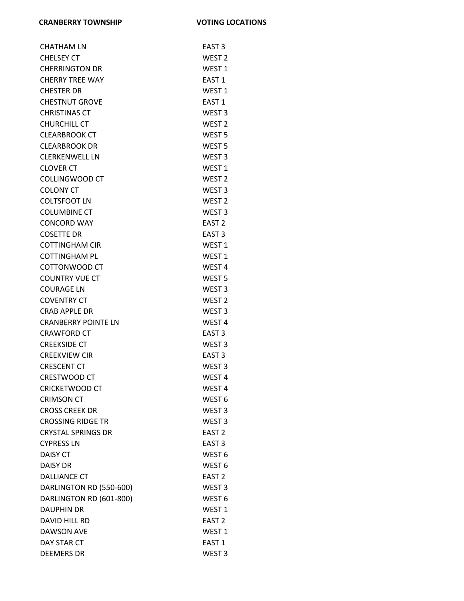| CHATHAM LN                 | EAST <sub>3</sub> |
|----------------------------|-------------------|
| <b>CHELSEY CT</b>          | WEST <sub>2</sub> |
| <b>CHERRINGTON DR</b>      | WEST <sub>1</sub> |
| <b>CHERRY TREE WAY</b>     | EAST 1            |
| <b>CHESTER DR</b>          | WEST <sub>1</sub> |
| <b>CHESTNUT GROVE</b>      | EAST <sub>1</sub> |
| <b>CHRISTINAS CT</b>       | WEST <sub>3</sub> |
| <b>CHURCHILL CT</b>        | WEST <sub>2</sub> |
| <b>CLEARBROOK CT</b>       | WEST <sub>5</sub> |
| <b>CLEARBROOK DR</b>       | WEST <sub>5</sub> |
| <b>CLERKENWELL LN</b>      | WEST <sub>3</sub> |
| <b>CLOVER CT</b>           | WEST <sub>1</sub> |
| COLLINGWOOD CT             | WEST <sub>2</sub> |
| <b>COLONY CT</b>           | WEST <sub>3</sub> |
| <b>COLTSFOOT LN</b>        | WEST <sub>2</sub> |
| <b>COLUMBINE CT</b>        | WEST <sub>3</sub> |
| <b>CONCORD WAY</b>         | EAST <sub>2</sub> |
| <b>COSETTE DR</b>          | EAST <sub>3</sub> |
| <b>COTTINGHAM CIR</b>      | WEST <sub>1</sub> |
| <b>COTTINGHAM PL</b>       | WEST <sub>1</sub> |
| COTTONWOOD CT              | WEST <sub>4</sub> |
| <b>COUNTRY VUE CT</b>      | WEST <sub>5</sub> |
| <b>COURAGE LN</b>          | WEST <sub>3</sub> |
| <b>COVENTRY CT</b>         | WEST <sub>2</sub> |
| CRAB APPLE DR              | WEST <sub>3</sub> |
| <b>CRANBERRY POINTE LN</b> | WEST <sub>4</sub> |
| <b>CRAWFORD CT</b>         | EAST <sub>3</sub> |
| <b>CREEKSIDE CT</b>        | WEST <sub>3</sub> |
| <b>CREEKVIEW CIR</b>       | EAST <sub>3</sub> |
| <b>CRESCENT CT</b>         | WEST <sub>3</sub> |
| <b>CRESTWOOD CT</b>        | WEST <sub>4</sub> |
| <b>CRICKETWOOD CT</b>      | WEST 4            |
| <b>CRIMSON CT</b>          | WEST <sub>6</sub> |
| <b>CROSS CREEK DR</b>      | WEST <sub>3</sub> |
| <b>CROSSING RIDGE TR</b>   | WEST <sub>3</sub> |
| <b>CRYSTAL SPRINGS DR</b>  | EAST <sub>2</sub> |
| <b>CYPRESS LN</b>          | EAST <sub>3</sub> |
| <b>DAISY CT</b>            | WEST <sub>6</sub> |
| <b>DAISY DR</b>            | WEST <sub>6</sub> |
| <b>DALLIANCE CT</b>        | EAST <sub>2</sub> |
| DARLINGTON RD (550-600)    | WEST <sub>3</sub> |
| DARLINGTON RD (601-800)    | WEST <sub>6</sub> |
| <b>DAUPHIN DR</b>          | WEST <sub>1</sub> |
| DAVID HILL RD              | EAST <sub>2</sub> |
| <b>DAWSON AVE</b>          | WEST <sub>1</sub> |
| DAY STAR CT                | EAST <sub>1</sub> |
| <b>DEEMERS DR</b>          | WEST <sub>3</sub> |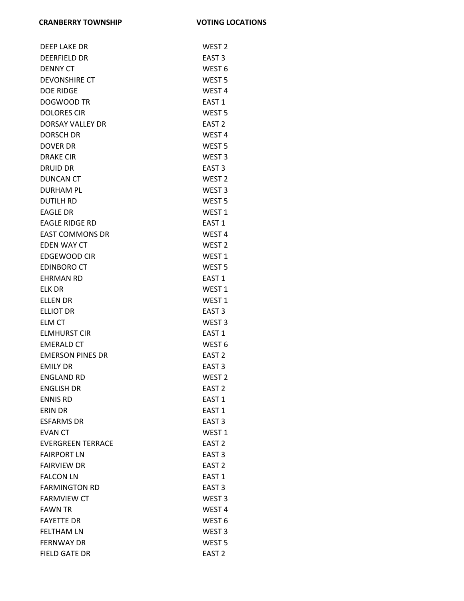| <b>DEEP LAKE DR</b>      | WEST <sub>2</sub> |
|--------------------------|-------------------|
| <b>DEERFIELD DR</b>      | EAST <sub>3</sub> |
| <b>DENNY CT</b>          | WEST <sub>6</sub> |
| <b>DEVONSHIRE CT</b>     | WEST <sub>5</sub> |
| <b>DOE RIDGE</b>         | WEST <sub>4</sub> |
| DOGWOOD TR               | EAST <sub>1</sub> |
| <b>DOLORES CIR</b>       | WEST <sub>5</sub> |
| DORSAY VALLEY DR         | EAST <sub>2</sub> |
| <b>DORSCH DR</b>         | WEST <sub>4</sub> |
| <b>DOVER DR</b>          | WEST <sub>5</sub> |
| <b>DRAKE CIR</b>         | WEST <sub>3</sub> |
| <b>DRUID DR</b>          | EAST <sub>3</sub> |
| <b>DUNCAN CT</b>         | WEST <sub>2</sub> |
| <b>DURHAM PL</b>         | WEST <sub>3</sub> |
| <b>DUTILH RD</b>         | WEST <sub>5</sub> |
| <b>EAGLE DR</b>          | WEST <sub>1</sub> |
| <b>EAGLE RIDGE RD</b>    | EAST 1            |
| <b>EAST COMMONS DR</b>   | WEST <sub>4</sub> |
| <b>EDEN WAY CT</b>       | WEST <sub>2</sub> |
| <b>EDGEWOOD CIR</b>      | WEST <sub>1</sub> |
| <b>EDINBORO CT</b>       | WEST <sub>5</sub> |
| <b>EHRMAN RD</b>         | EAST 1            |
| <b>ELK DR</b>            | WEST <sub>1</sub> |
| <b>ELLEN DR</b>          | WEST <sub>1</sub> |
| <b>ELLIOT DR</b>         | EAST <sub>3</sub> |
| ELM CT                   | WEST <sub>3</sub> |
| <b>ELMHURST CIR</b>      | EAST <sub>1</sub> |
| <b>EMERALD CT</b>        | WEST <sub>6</sub> |
| <b>EMERSON PINES DR</b>  | EAST <sub>2</sub> |
| <b>EMILY DR</b>          | EAST <sub>3</sub> |
| <b>ENGLAND RD</b>        | WEST <sub>2</sub> |
| <b>ENGLISH DR</b>        | EAST <sub>2</sub> |
| <b>ENNIS RD</b>          | EAST <sub>1</sub> |
| ERIN DR                  | EAST <sub>1</sub> |
| <b>ESFARMS DR</b>        | EAST <sub>3</sub> |
| <b>EVAN CT</b>           | WEST <sub>1</sub> |
| <b>EVERGREEN TERRACE</b> | EAST <sub>2</sub> |
| <b>FAIRPORT LN</b>       | EAST <sub>3</sub> |
| <b>FAIRVIEW DR</b>       | EAST <sub>2</sub> |
| <b>FALCON LN</b>         | EAST <sub>1</sub> |
| <b>FARMINGTON RD</b>     | EAST <sub>3</sub> |
| <b>FARMVIEW CT</b>       | WEST <sub>3</sub> |
| <b>FAWN TR</b>           | WEST <sub>4</sub> |
| <b>FAYETTE DR</b>        | WEST <sub>6</sub> |
| <b>FELTHAM LN</b>        | WEST <sub>3</sub> |
| <b>FERNWAY DR</b>        | WEST <sub>5</sub> |
| <b>FIELD GATE DR</b>     | EAST <sub>2</sub> |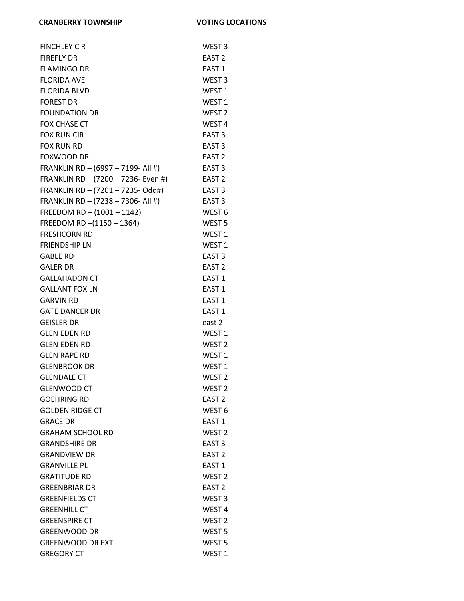| <b>FINCHLEY CIR</b>                 | WEST <sub>3</sub> |
|-------------------------------------|-------------------|
| <b>FIREFLY DR</b>                   | EAST <sub>2</sub> |
| <b>FLAMINGO DR</b>                  | EAST <sub>1</sub> |
| <b>FLORIDA AVE</b>                  | WEST <sub>3</sub> |
| <b>FLORIDA BLVD</b>                 | WEST <sub>1</sub> |
| <b>FOREST DR</b>                    | WEST <sub>1</sub> |
| <b>FOUNDATION DR</b>                | WEST <sub>2</sub> |
| <b>FOX CHASE CT</b>                 | WEST <sub>4</sub> |
| <b>FOX RUN CIR</b>                  | EAST <sub>3</sub> |
| <b>FOX RUN RD</b>                   | EAST <sub>3</sub> |
| <b>FOXWOOD DR</b>                   | EAST <sub>2</sub> |
| FRANKLIN RD - (6997 - 7199- All #)  | EAST <sub>3</sub> |
| FRANKLIN RD - (7200 - 7236- Even #) | EAST <sub>2</sub> |
| FRANKLIN RD - (7201 - 7235- Odd#)   | EAST <sub>3</sub> |
| FRANKLIN RD - (7238 - 7306- All #)  | EAST <sub>3</sub> |
| FREEDOM RD - (1001 - 1142)          | WEST <sub>6</sub> |
| FREEDOM RD-(1150 - 1364)            | WEST <sub>5</sub> |
| <b>FRESHCORN RD</b>                 | WEST <sub>1</sub> |
| <b>FRIENDSHIP LN</b>                | WEST <sub>1</sub> |
| <b>GABLE RD</b>                     | EAST <sub>3</sub> |
| <b>GALER DR</b>                     | EAST <sub>2</sub> |
| <b>GALLAHADON CT</b>                | EAST <sub>1</sub> |
| <b>GALLANT FOX LN</b>               | EAST <sub>1</sub> |
| <b>GARVIN RD</b>                    | EAST <sub>1</sub> |
| <b>GATE DANCER DR</b>               | EAST <sub>1</sub> |
| <b>GEISLER DR</b>                   | east 2            |
| <b>GLEN EDEN RD</b>                 | WEST <sub>1</sub> |
| <b>GLEN EDEN RD</b>                 | WEST <sub>2</sub> |
| <b>GLEN RAPE RD</b>                 | WEST <sub>1</sub> |
| <b>GLENBROOK DR</b>                 | WEST <sub>1</sub> |
| <b>GLENDALE CT</b>                  | WEST <sub>2</sub> |
| <b>GLENWOOD CT</b>                  | WEST <sub>2</sub> |
| <b>GOEHRING RD</b>                  | EAST <sub>2</sub> |
| <b>GOLDEN RIDGE CT</b>              | WEST <sub>6</sub> |
| <b>GRACE DR</b>                     | EAST <sub>1</sub> |
| <b>GRAHAM SCHOOL RD</b>             | WEST <sub>2</sub> |
| <b>GRANDSHIRE DR</b>                | EAST <sub>3</sub> |
| <b>GRANDVIEW DR</b>                 | EAST <sub>2</sub> |
| <b>GRANVILLE PL</b>                 | <b>FAST 1</b>     |
| <b>GRATITUDE RD</b>                 | WEST <sub>2</sub> |
| <b>GREENBRIAR DR</b>                | EAST <sub>2</sub> |
| <b>GREENFIELDS CT</b>               | WEST <sub>3</sub> |
| <b>GREENHILL CT</b>                 | WEST <sub>4</sub> |
| <b>GREENSPIRE CT</b>                | WEST <sub>2</sub> |
| <b>GREENWOOD DR</b>                 | WEST <sub>5</sub> |
| <b>GREENWOOD DR EXT</b>             | WEST <sub>5</sub> |
| <b>GREGORY CT</b>                   | WEST <sub>1</sub> |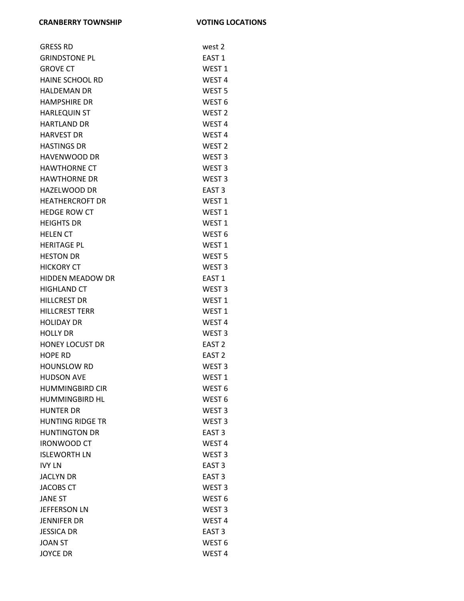| <b>GRESS RD</b>         | west 2            |
|-------------------------|-------------------|
| <b>GRINDSTONE PL</b>    | EAST <sub>1</sub> |
| <b>GROVE CT</b>         | WEST <sub>1</sub> |
| <b>HAINE SCHOOL RD</b>  | WEST <sub>4</sub> |
| <b>HALDEMAN DR</b>      | WEST <sub>5</sub> |
| <b>HAMPSHIRE DR</b>     | WEST <sub>6</sub> |
| <b>HARLEQUIN ST</b>     | WEST <sub>2</sub> |
| <b>HARTLAND DR</b>      | WEST <sub>4</sub> |
| <b>HARVEST DR</b>       | WEST <sub>4</sub> |
| <b>HASTINGS DR</b>      | WEST <sub>2</sub> |
| <b>HAVENWOOD DR</b>     | WEST <sub>3</sub> |
| <b>HAWTHORNE CT</b>     | WEST <sub>3</sub> |
| <b>HAWTHORNE DR</b>     | WEST <sub>3</sub> |
| <b>HAZELWOOD DR</b>     | EAST <sub>3</sub> |
| <b>HEATHERCROFT DR</b>  | WEST <sub>1</sub> |
| <b>HEDGE ROW CT</b>     | WEST <sub>1</sub> |
| <b>HEIGHTS DR</b>       | WEST <sub>1</sub> |
| <b>HELEN CT</b>         | WEST <sub>6</sub> |
| <b>HERITAGE PL</b>      | WEST <sub>1</sub> |
| <b>HESTON DR</b>        | WEST <sub>5</sub> |
| <b>HICKORY CT</b>       | WEST <sub>3</sub> |
| <b>HIDDEN MEADOW DR</b> | EAST <sub>1</sub> |
| <b>HIGHLAND CT</b>      | WEST <sub>3</sub> |
| <b>HILLCREST DR</b>     | WEST <sub>1</sub> |
| <b>HILLCREST TERR</b>   | WEST <sub>1</sub> |
| <b>HOLIDAY DR</b>       | WEST <sub>4</sub> |
| <b>HOLLY DR</b>         | WEST <sub>3</sub> |
| <b>HONEY LOCUST DR</b>  | EAST <sub>2</sub> |
| <b>HOPE RD</b>          | EAST <sub>2</sub> |
| <b>HOUNSLOW RD</b>      | WEST <sub>3</sub> |
| <b>HUDSON AVE</b>       | WEST <sub>1</sub> |
| <b>HUMMINGBIRD CIR</b>  | WEST <sub>6</sub> |
| <b>HUMMINGBIRD HL</b>   | WEST <sub>6</sub> |
| <b>HUNTER DR</b>        | WEST <sub>3</sub> |
| <b>HUNTING RIDGE TR</b> | WEST <sub>3</sub> |
| <b>HUNTINGTON DR</b>    | EAST <sub>3</sub> |
| <b>IRONWOOD CT</b>      | WEST <sub>4</sub> |
| <b>ISLEWORTH LN</b>     | WEST <sub>3</sub> |
| <b>IVY LN</b>           | EAST <sub>3</sub> |
| <b>JACLYN DR</b>        | EAST <sub>3</sub> |
| <b>JACOBS CT</b>        | WEST <sub>3</sub> |
| <b>JANE ST</b>          | WEST <sub>6</sub> |
| <b>JEFFERSON LN</b>     | WEST <sub>3</sub> |
| JENNIFER DR             | WEST <sub>4</sub> |
| <b>JESSICA DR</b>       | EAST <sub>3</sub> |
| <b>JOAN ST</b>          | WEST <sub>6</sub> |
| <b>JOYCE DR</b>         | WEST <sub>4</sub> |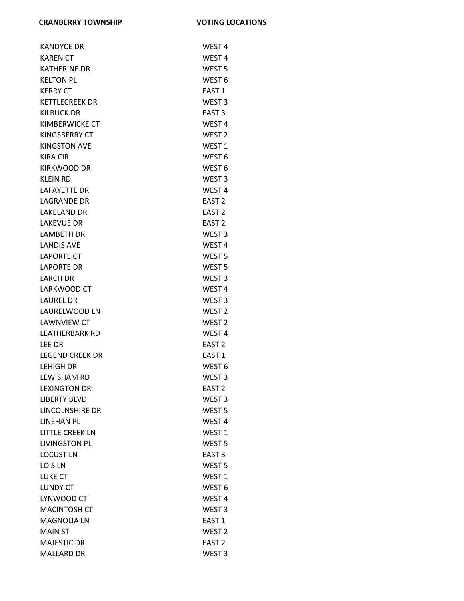| <b>KANDYCE DR</b>      | WEST <sub>4</sub> |
|------------------------|-------------------|
| <b>KAREN CT</b>        | WEST <sub>4</sub> |
| <b>KATHERINE DR</b>    | WEST <sub>5</sub> |
| <b>KELTON PL</b>       | WEST <sub>6</sub> |
| <b>KERRY CT</b>        | EAST <sub>1</sub> |
| <b>KETTLECREEK DR</b>  | WEST <sub>3</sub> |
| <b>KILBUCK DR</b>      | EAST <sub>3</sub> |
| KIMBERWICKE CT         | WEST <sub>4</sub> |
| KINGSBERRY CT          | WEST <sub>2</sub> |
| <b>KINGSTON AVE</b>    | WEST <sub>1</sub> |
| <b>KIRA CIR</b>        | WEST <sub>6</sub> |
| <b>KIRKWOOD DR</b>     | WEST <sub>6</sub> |
| <b>KLEIN RD</b>        | WEST <sub>3</sub> |
| <b>LAFAYETTE DR</b>    | WEST <sub>4</sub> |
| <b>LAGRANDE DR</b>     | EAST <sub>2</sub> |
| <b>LAKELAND DR</b>     | EAST <sub>2</sub> |
| <b>LAKEVUE DR</b>      | EAST <sub>2</sub> |
| <b>LAMBETH DR</b>      | WEST <sub>3</sub> |
| <b>LANDIS AVE</b>      | WEST <sub>4</sub> |
| <b>LAPORTE CT</b>      | WEST <sub>5</sub> |
| <b>LAPORTE DR</b>      | WEST <sub>5</sub> |
| <b>LARCH DR</b>        | WEST <sub>3</sub> |
| LARKWOOD CT            | WEST <sub>4</sub> |
| <b>LAUREL DR</b>       | WEST <sub>3</sub> |
| LAURELWOOD LN          | WEST <sub>2</sub> |
| <b>LAWNVIEW CT</b>     | WEST <sub>2</sub> |
| <b>LEATHERBARK RD</b>  | WEST <sub>4</sub> |
| LEE DR                 | EAST <sub>2</sub> |
| <b>LEGEND CREEK DR</b> | EAST <sub>1</sub> |
| <b>LEHIGH DR</b>       | WEST <sub>6</sub> |
| <b>LEWISHAM RD</b>     | WEST <sub>3</sub> |
| <b>LEXINGTON DR</b>    | EAST <sub>2</sub> |
| <b>LIBERTY BLVD</b>    | WEST <sub>3</sub> |
| LINCOLNSHIRE DR        | WEST <sub>5</sub> |
| <b>LINEHAN PL</b>      | WEST <sub>4</sub> |
| <b>LITTLE CREEK LN</b> | WEST <sub>1</sub> |
| <b>LIVINGSTON PL</b>   | WEST <sub>5</sub> |
| <b>LOCUST LN</b>       | EAST <sub>3</sub> |
| <b>LOIS LN</b>         | WEST <sub>5</sub> |
| <b>LUKE CT</b>         | WEST <sub>1</sub> |
| <b>LUNDY CT</b>        | WEST <sub>6</sub> |
| LYNWOOD CT             | WEST <sub>4</sub> |
| <b>MACINTOSH CT</b>    | WEST <sub>3</sub> |
| <b>MAGNOLIA LN</b>     | EAST <sub>1</sub> |
| <b>MAIN ST</b>         | WEST <sub>2</sub> |
| <b>MAJESTIC DR</b>     | EAST <sub>2</sub> |
| <b>MALLARD DR</b>      | WEST <sub>3</sub> |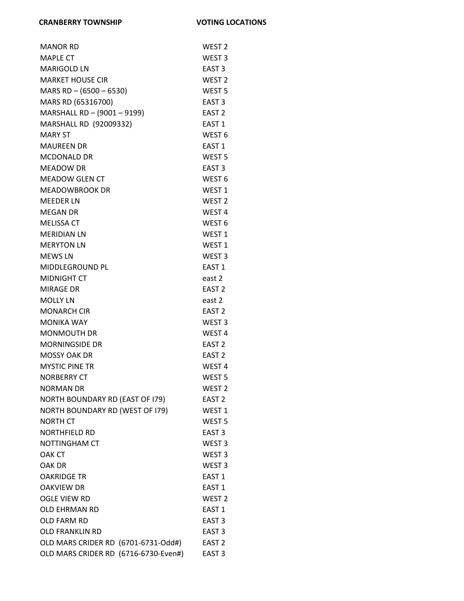| <b>MANOR RD</b>                      | WEST <sub>2</sub> |
|--------------------------------------|-------------------|
| <b>MAPLE CT</b>                      | WEST <sub>3</sub> |
| <b>MARIGOLD LN</b>                   | EAST <sub>3</sub> |
| <b>MARKET HOUSE CIR</b>              | WEST <sub>2</sub> |
| MARS RD $-$ (6500 $-$ 6530)          | WEST <sub>5</sub> |
| MARS RD (65316700)                   | EAST <sub>3</sub> |
| MARSHALL RD - (9001 - 9199)          | EAST <sub>2</sub> |
| MARSHALL RD (92009332)               | EAST <sub>1</sub> |
| <b>MARY ST</b>                       | WEST <sub>6</sub> |
| <b>MAUREEN DR</b>                    | EAST <sub>1</sub> |
| <b>MCDONALD DR</b>                   | WEST <sub>5</sub> |
| <b>MEADOW DR</b>                     | EAST <sub>3</sub> |
| <b>MEADOW GLEN CT</b>                | WEST <sub>6</sub> |
| <b>MEADOWBROOK DR</b>                | WEST <sub>1</sub> |
| <b>MEEDER LN</b>                     | WEST <sub>2</sub> |
| <b>MEGAN DR</b>                      | WEST <sub>4</sub> |
| <b>MELISSA CT</b>                    | WEST <sub>6</sub> |
| <b>MERIDIAN LN</b>                   | WEST <sub>1</sub> |
| <b>MERYTON LN</b>                    | WEST <sub>1</sub> |
| <b>MEWS LN</b>                       | WEST <sub>3</sub> |
| MIDDLEGROUND PL                      | EAST <sub>1</sub> |
| <b>MIDNIGHT CT</b>                   | east 2            |
| <b>MIRAGE DR</b>                     | EAST <sub>2</sub> |
| <b>MOLLY LN</b>                      | east 2            |
| <b>MONARCH CIR</b>                   | EAST <sub>2</sub> |
| <b>MONIKA WAY</b>                    | WEST <sub>3</sub> |
| <b>MONMOUTH DR</b>                   | WEST <sub>4</sub> |
| <b>MORNINGSIDE DR</b>                | EAST <sub>2</sub> |
| <b>MOSSY OAK DR</b>                  | EAST <sub>2</sub> |
| <b>MYSTIC PINE TR</b>                | WEST 4            |
| <b>NORBERRY CT</b>                   | WEST <sub>5</sub> |
| <b>NORMAN DR</b>                     | WEST <sub>2</sub> |
| NORTH BOUNDARY RD (EAST OF 179)      | EAST <sub>2</sub> |
| NORTH BOUNDARY RD (WEST OF 179)      | WEST <sub>1</sub> |
| <b>NORTH CT</b>                      | WEST <sub>5</sub> |
| <b>NORTHFIELD RD</b>                 | EAST <sub>3</sub> |
| NOTTINGHAM CT                        | WEST <sub>3</sub> |
| <b>OAK CT</b>                        | WEST <sub>3</sub> |
| OAK DR                               | WEST <sub>3</sub> |
| <b>OAKRIDGE TR</b>                   | EAST <sub>1</sub> |
| <b>OAKVIEW DR</b>                    | EAST <sub>1</sub> |
| <b>OGLE VIEW RD</b>                  | WEST <sub>2</sub> |
| <b>OLD EHRMAN RD</b>                 | EAST <sub>1</sub> |
| OLD FARM RD                          | EAST <sub>3</sub> |
| <b>OLD FRANKLIN RD</b>               | EAST <sub>3</sub> |
| OLD MARS CRIDER RD (6701-6731-Odd#)  | EAST <sub>2</sub> |
| OLD MARS CRIDER RD (6716-6730-Even#) | EAST <sub>3</sub> |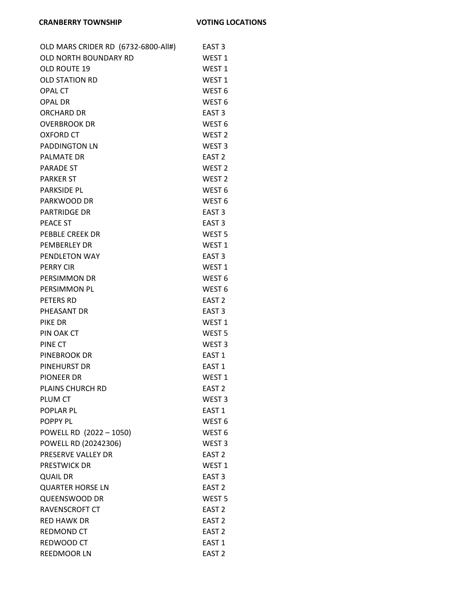| OLD MARS CRIDER RD (6732-6800-All#) | EAST 3            |
|-------------------------------------|-------------------|
| OLD NORTH BOUNDARY RD               | WEST 1            |
| <b>OLD ROUTE 19</b>                 | WEST 1            |
| <b>OLD STATION RD</b>               | WEST <sub>1</sub> |
| <b>OPAL CT</b>                      | WEST <sub>6</sub> |
| <b>OPAL DR</b>                      | WEST <sub>6</sub> |
| <b>ORCHARD DR</b>                   | EAST <sub>3</sub> |
| <b>OVERBROOK DR</b>                 | WEST <sub>6</sub> |
| <b>OXFORD CT</b>                    | WEST <sub>2</sub> |
| <b>PADDINGTON LN</b>                | WEST <sub>3</sub> |
| <b>PALMATE DR</b>                   | EAST <sub>2</sub> |
| <b>PARADE ST</b>                    | WEST <sub>2</sub> |
| <b>PARKER ST</b>                    | WEST <sub>2</sub> |
| <b>PARKSIDE PL</b>                  | WEST <sub>6</sub> |
| PARKWOOD DR                         | WEST <sub>6</sub> |
| <b>PARTRIDGE DR</b>                 | EAST <sub>3</sub> |
| PEACE ST                            | EAST <sub>3</sub> |
| <b>PEBBLE CREEK DR</b>              | WEST <sub>5</sub> |
| PEMBERLEY DR                        | WEST <sub>1</sub> |
| PENDLETON WAY                       | EAST <sub>3</sub> |
| <b>PERRY CIR</b>                    | WEST <sub>1</sub> |
| PERSIMMON DR                        | WEST <sub>6</sub> |
| PERSIMMON PL                        | WEST <sub>6</sub> |
| PETERS RD                           | EAST <sub>2</sub> |
| PHEASANT DR                         | EAST <sub>3</sub> |
| PIKE DR                             | WEST 1            |
| PIN OAK CT                          | WEST <sub>5</sub> |
| PINE CT                             | WEST <sub>3</sub> |
| PINEBROOK DR                        | EAST 1            |
| PINEHURST DR                        | EAST 1            |
| <b>PIONEER DR</b>                   | WEST <sub>1</sub> |
| <b>PLAINS CHURCH RD</b>             | EAST <sub>2</sub> |
| PLUM CT                             | WEST <sub>3</sub> |
| <b>POPLAR PL</b>                    | EAST 1            |
| POPPY PL                            | WEST <sub>6</sub> |
| POWELL RD (2022 - 1050)             | WEST <sub>6</sub> |
| POWELL RD (20242306)                | WEST <sub>3</sub> |
| PRESERVE VALLEY DR                  | EAST <sub>2</sub> |
| PRESTWICK DR                        | WEST <sub>1</sub> |
| <b>QUAIL DR</b>                     | EAST <sub>3</sub> |
| <b>QUARTER HORSE LN</b>             | EAST <sub>2</sub> |
| <b>QUEENSWOOD DR</b>                | WEST <sub>5</sub> |
| RAVENSCROFT CT                      | EAST <sub>2</sub> |
| <b>RED HAWK DR</b>                  | EAST <sub>2</sub> |
| <b>REDMOND CT</b>                   | EAST <sub>2</sub> |
| REDWOOD CT                          | EAST <sub>1</sub> |
| <b>REEDMOOR LN</b>                  | EAST <sub>2</sub> |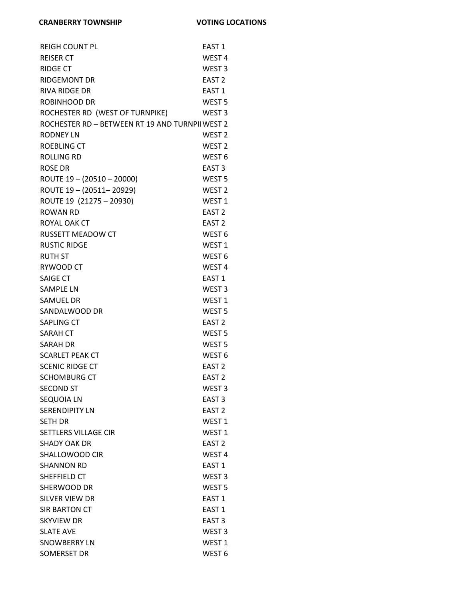| <b>REIGH COUNT PL</b>                          | EAST <sub>1</sub> |
|------------------------------------------------|-------------------|
| <b>REISER CT</b>                               | WEST <sub>4</sub> |
| <b>RIDGE CT</b>                                | WEST <sub>3</sub> |
| <b>RIDGEMONT DR</b>                            | EAST <sub>2</sub> |
| <b>RIVA RIDGE DR</b>                           | EAST <sub>1</sub> |
| ROBINHOOD DR                                   | WEST <sub>5</sub> |
| ROCHESTER RD (WEST OF TURNPIKE)                | WEST <sub>3</sub> |
| ROCHESTER RD - BETWEEN RT 19 AND TURNPILWEST 2 |                   |
| <b>RODNEY LN</b>                               | WEST <sub>2</sub> |
| <b>ROEBLING CT</b>                             | WEST <sub>2</sub> |
| <b>ROLLING RD</b>                              | WEST <sub>6</sub> |
| <b>ROSE DR</b>                                 | EAST <sub>3</sub> |
| ROUTE 19 - (20510 - 20000)                     | WEST <sub>5</sub> |
| ROUTE 19-(20511-20929)                         | WEST <sub>2</sub> |
| ROUTE 19 (21275 - 20930)                       | WEST <sub>1</sub> |
| ROWAN RD                                       | EAST <sub>2</sub> |
| ROYAL OAK CT                                   | EAST <sub>2</sub> |
| <b>RUSSETT MEADOW CT</b>                       | WEST <sub>6</sub> |
| <b>RUSTIC RIDGE</b>                            | WEST <sub>1</sub> |
| <b>RUTH ST</b>                                 | WEST <sub>6</sub> |
| RYWOOD CT                                      | WEST <sub>4</sub> |
| <b>SAIGE CT</b>                                | EAST <sub>1</sub> |
| <b>SAMPLE LN</b>                               | WEST <sub>3</sub> |
| <b>SAMUEL DR</b>                               | WEST <sub>1</sub> |
| SANDALWOOD DR                                  | WEST <sub>5</sub> |
| <b>SAPLING CT</b>                              | EAST <sub>2</sub> |
| <b>SARAH CT</b>                                | WEST <sub>5</sub> |
| <b>SARAH DR</b>                                | WEST <sub>5</sub> |
| <b>SCARLET PEAK CT</b>                         | WEST <sub>6</sub> |
| <b>SCENIC RIDGE CT</b>                         | EAST <sub>2</sub> |
| <b>SCHOMBURG CT</b>                            | EAST <sub>2</sub> |
| <b>SECOND ST</b>                               | WEST <sub>3</sub> |
| <b>SEQUOIA LN</b>                              | EAST <sub>3</sub> |
| <b>SERENDIPITY LN</b>                          | EAST <sub>2</sub> |
| <b>SETH DR</b>                                 | WEST <sub>1</sub> |
| <b>SETTLERS VILLAGE CIR</b>                    | WEST <sub>1</sub> |
| <b>SHADY OAK DR</b>                            | EAST <sub>2</sub> |
| SHALLOWOOD CIR                                 | WEST <sub>4</sub> |
| <b>SHANNON RD</b>                              | EAST <sub>1</sub> |
| SHEFFIELD CT                                   | WEST <sub>3</sub> |
| SHERWOOD DR                                    | WEST <sub>5</sub> |
| <b>SILVER VIEW DR</b>                          | EAST <sub>1</sub> |
| SIR BARTON CT                                  | EAST <sub>1</sub> |
| <b>SKYVIEW DR</b>                              | EAST <sub>3</sub> |
| <b>SLATE AVE</b>                               | WEST <sub>3</sub> |
| <b>SNOWBERRY LN</b>                            | WEST <sub>1</sub> |
| SOMERSET DR                                    | WEST <sub>6</sub> |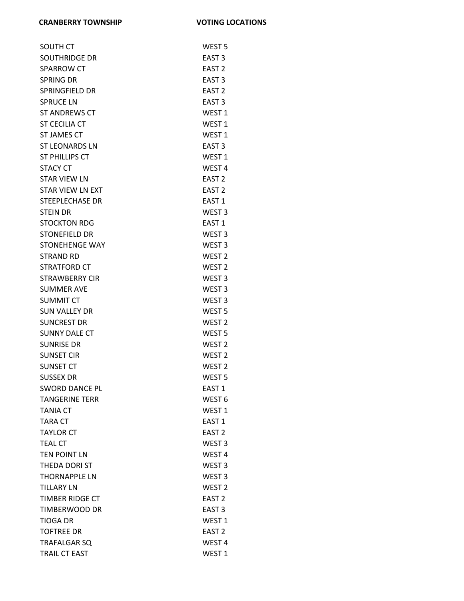| <b>SOUTH CT</b>         | WEST <sub>5</sub> |
|-------------------------|-------------------|
| <b>SOUTHRIDGE DR</b>    | EAST <sub>3</sub> |
| <b>SPARROW CT</b>       | EAST <sub>2</sub> |
| <b>SPRING DR</b>        | EAST <sub>3</sub> |
| <b>SPRINGFIELD DR</b>   | EAST <sub>2</sub> |
| <b>SPRUCE LN</b>        | EAST <sub>3</sub> |
| ST ANDREWS CT           | WEST <sub>1</sub> |
| <b>ST CECILIA CT</b>    | WEST <sub>1</sub> |
| <b>ST JAMES CT</b>      | WEST <sub>1</sub> |
| <b>ST LEONARDS LN</b>   | EAST <sub>3</sub> |
| ST PHILLIPS CT          | WEST <sub>1</sub> |
| <b>STACY CT</b>         | WEST <sub>4</sub> |
| <b>STAR VIEW LN</b>     | EAST <sub>2</sub> |
| <b>STAR VIEW LN EXT</b> | EAST <sub>2</sub> |
| <b>STEEPLECHASE DR</b>  | EAST <sub>1</sub> |
| <b>STEIN DR</b>         | WEST <sub>3</sub> |
| <b>STOCKTON RDG</b>     | EAST <sub>1</sub> |
| <b>STONEFIELD DR</b>    | WEST <sub>3</sub> |
| <b>STONEHENGE WAY</b>   | WEST <sub>3</sub> |
| <b>STRAND RD</b>        | WEST <sub>2</sub> |
| STRATFORD CT            | WEST <sub>2</sub> |
| <b>STRAWBERRY CIR</b>   | WEST <sub>3</sub> |
| <b>SUMMER AVE</b>       | WEST <sub>3</sub> |
| <b>SUMMIT CT</b>        | WEST <sub>3</sub> |
| SUN VALLEY DR           | WEST <sub>5</sub> |
| <b>SUNCREST DR</b>      | WEST <sub>2</sub> |
| <b>SUNNY DALE CT</b>    | WEST <sub>5</sub> |
| <b>SUNRISE DR</b>       | WEST <sub>2</sub> |
| <b>SUNSET CIR</b>       | WEST <sub>2</sub> |
| <b>SUNSET CT</b>        | WEST <sub>2</sub> |
| <b>SUSSEX DR</b>        | WEST <sub>5</sub> |
| <b>SWORD DANCE PL</b>   | EAST <sub>1</sub> |
| <b>TANGERINE TERR</b>   | WEST <sub>6</sub> |
| <b>TANIA CT</b>         | WEST <sub>1</sub> |
| TARA CT                 | EAST <sub>1</sub> |
| <b>TAYLOR CT</b>        | EAST <sub>2</sub> |
| <b>TEAL CT</b>          | WEST <sub>3</sub> |
| <b>TEN POINT LN</b>     | WEST <sub>4</sub> |
| THEDA DORI ST           | WEST <sub>3</sub> |
| <b>THORNAPPLE LN</b>    | WEST <sub>3</sub> |
| <b>TILLARY LN</b>       | WEST <sub>2</sub> |
| TIMBER RIDGE CT         | EAST <sub>2</sub> |
| TIMBERWOOD DR           | EAST <sub>3</sub> |
| <b>TIOGA DR</b>         | WEST <sub>1</sub> |
| <b>TOFTREE DR</b>       | EAST <sub>2</sub> |
| <b>TRAFALGAR SQ</b>     | WEST <sub>4</sub> |
| TRAIL CT EAST           | WEST <sub>1</sub> |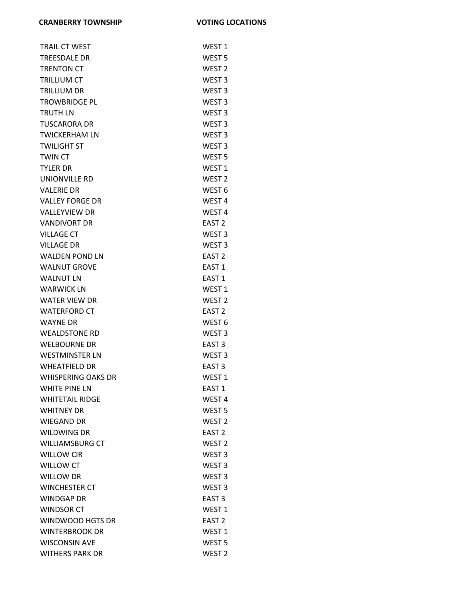| <b>TRAIL CT WEST</b>      | WEST <sub>1</sub> |
|---------------------------|-------------------|
| <b>TREESDALE DR</b>       | WEST <sub>5</sub> |
| <b>TRENTON CT</b>         | WEST <sub>2</sub> |
| <b>TRILLIUM CT</b>        | WEST <sub>3</sub> |
| <b>TRILLIUM DR</b>        | WEST <sub>3</sub> |
| <b>TROWBRIDGE PL</b>      | WEST <sub>3</sub> |
| <b>TRUTH LN</b>           | WEST <sub>3</sub> |
| <b>TUSCARORA DR</b>       | WEST <sub>3</sub> |
| <b>TWICKERHAM LN</b>      | WEST <sub>3</sub> |
| <b>TWILIGHT ST</b>        | WEST <sub>3</sub> |
| <b>TWIN CT</b>            | WEST <sub>5</sub> |
| <b>TYLER DR</b>           | WEST <sub>1</sub> |
| UNIONVILLE RD             | WEST <sub>2</sub> |
| <b>VALERIE DR</b>         | WEST <sub>6</sub> |
| <b>VALLEY FORGE DR</b>    | WEST <sub>4</sub> |
| <b>VALLEYVIEW DR</b>      | WEST <sub>4</sub> |
| <b>VANDIVORT DR</b>       | EAST <sub>2</sub> |
| <b>VILLAGE CT</b>         | WEST <sub>3</sub> |
| <b>VILLAGE DR</b>         | WEST <sub>3</sub> |
| <b>WALDEN POND LN</b>     | EAST <sub>2</sub> |
| <b>WALNUT GROVE</b>       | EAST <sub>1</sub> |
| <b>WALNUT LN</b>          | EAST <sub>1</sub> |
| <b>WARWICK LN</b>         | WEST <sub>1</sub> |
| <b>WATER VIEW DR</b>      | WEST <sub>2</sub> |
| <b>WATERFORD CT</b>       | EAST <sub>2</sub> |
| <b>WAYNE DR</b>           | WEST <sub>6</sub> |
| <b>WEALDSTONE RD</b>      | WEST <sub>3</sub> |
| <b>WELBOURNE DR</b>       | EAST <sub>3</sub> |
| <b>WESTMINSTER LN</b>     | WEST <sub>3</sub> |
| <b>WHEATFIELD DR</b>      | EAST <sub>3</sub> |
| <b>WHISPERING OAKS DR</b> | WEST <sub>1</sub> |
| <b>WHITE PINE LN</b>      | EAST <sub>1</sub> |
| <b>WHITETAIL RIDGE</b>    | WEST <sub>4</sub> |
| <b>WHITNEY DR</b>         | WEST <sub>5</sub> |
| <b>WIEGAND DR</b>         | WEST <sub>2</sub> |
| <b>WILDWING DR</b>        | EAST <sub>2</sub> |
| <b>WILLIAMSBURG CT</b>    | WEST <sub>2</sub> |
| <b>WILLOW CIR</b>         | WEST <sub>3</sub> |
| <b>WILLOW CT</b>          | WEST <sub>3</sub> |
| <b>WILLOW DR</b>          | WEST <sub>3</sub> |
| <b>WINCHESTER CT</b>      | WEST <sub>3</sub> |
| <b>WINDGAP DR</b>         | EAST <sub>3</sub> |
| <b>WINDSOR CT</b>         | WEST <sub>1</sub> |
| WINDWOOD HGTS DR          | EAST <sub>2</sub> |
| <b>WINTERBROOK DR</b>     | WEST <sub>1</sub> |
| <b>WISCONSIN AVE</b>      | WEST <sub>5</sub> |
| <b>WITHERS PARK DR</b>    | WEST <sub>2</sub> |